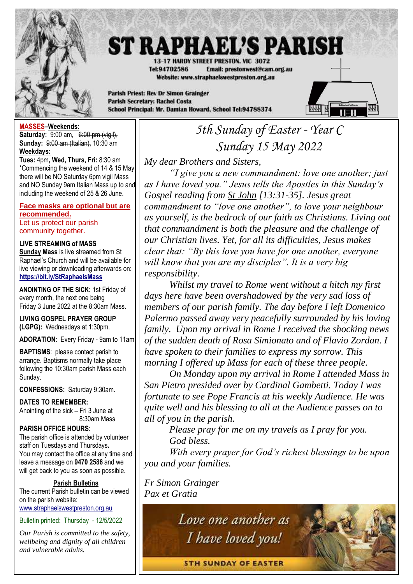

# **ST RAPHAEL'S PARISH**

13-17 HARDY STREET PRESTON, VIC 3072 Tel:94702586 Email: prestonwest@cam.org.au Website: www.straphaelswestpreston.org.au

**Parish Priest: Rev Dr Simon Grainger Parish Secretary: Rachel Costa** School Principal: Mr. Damian Howard, School Tel:94788374



## **MASSES–Weekends:**

**Saturday:** 9:00 am, 6:00 pm (vigil), **Sunday:** 9:00 am (Italian), 10:30 am **Weekdays:** 

**Tues:** 4pm**, Wed, Thurs, Fri:** 8:30 am \*Commencing the weekend of 14 & 15 May there will be NO Saturday 6pm vigil Mass and NO Sunday 9am Italian Mass up to and including the weekend of 25 & 26 June.

## **Face masks are optional but are recommended.**

Let us protect our parish community together.

## **LIVE STREAMING of MASS**

**Sunday Mass** is live streamed from St Raphael's Church and will be available for live viewing or downloading afterwards on: **<https://bit.ly/StRaphaelsMass>**

**ANOINTING OF THE SICK:** 1st Friday of every month, the next one being Friday 3 June 2022 at the 8:30am Mass.

**LIVING GOSPEL PRAYER GROUP (LGPG):** Wednesdays at 1:30pm.

**ADORATION**: Every Friday - 9am to 11am.

**BAPTISMS**: please contact parish to arrange. Baptisms normally take place following the 10:30am parish Mass each Sunday.

**CONFESSIONS:** Saturday 9:30am.

## **DATES TO REMEMBER:**

Anointing of the sick – Fri 3 June at 8:30am Mass

**PARISH OFFICE HOURS:**

The parish office is attended by volunteer staff on Tuesdays and Thursdays**.** You may contact the office at any time and leave a message on **9470 2586** and we will get back to you as soon as possible.

## **Parish Bulletins**

The current Parish bulletin can be viewed on the parish website: [www.straphaelswestpreston.org.au](file:///D:/Google%20Drive/ST%20RAPHAEL)

Bulletin printed: Thursday - 12/5/2022

*Our Parish is committed to the safety, wellbeing and dignity of all children and vulnerable adults.*

## *5th Sunday of Easter - Year C Sunday 15 May 2022*

*My dear Brothers and Sisters,*

*"I give you a new commandment: love one another; just as I have loved you." Jesus tells the Apostles in this Sunday's Gospel reading from St John [13:31-35]. Jesus great commandment to "love one another", to love your neighbour as yourself, is the bedrock of our faith as Christians. Living out that commandment is both the pleasure and the challenge of our Christian lives. Yet, for all its difficulties, Jesus makes clear that: "By this love you have for one another, everyone will know that you are my disciples". It is a very big responsibility.*

*Whilst my travel to Rome went without a hitch my first days here have been overshadowed by the very sad loss of members of our parish family. The day before I left Domenico Palermo passed away very peacefully surrounded by his loving family. Upon my arrival in Rome I received the shocking news of the sudden death of Rosa Simionato and of Flavio Zordan. I have spoken to their families to express my sorrow. This morning I offered up Mass for each of these three people.*

*On Monday upon my arrival in Rome I attended Mass in San Pietro presided over by Cardinal Gambetti. Today I was fortunate to see Pope Francis at his weekly Audience. He was quite well and his blessing to all at the Audience passes on to all of you in the parish.*

*Please pray for me on my travels as I pray for you. God bless.*

*With every prayer for God's richest blessings to be upon you and your families.*

*Fr Simon Grainger Pax et Gratia*



**STH SUNDAY OF EASTER**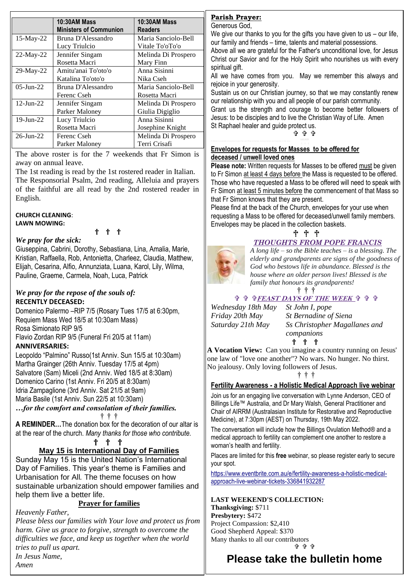|                 | <b>10:30AM Mass</b>           | <b>10:30AM Mass</b> |
|-----------------|-------------------------------|---------------------|
|                 | <b>Ministers of Communion</b> | <b>Readers</b>      |
| $15$ -May-22    | Bruna D'Alessandro            | Maria Sanciolo-Bell |
|                 | Lucy Triulcio                 | Vitale To'oTo'o     |
| $22-May-22$     | Jennifer Singam               | Melinda Di Prospero |
|                 | Rosetta Macri                 | Mary Finn           |
| $29$ -May-22    | Amitu'anai To'oto'o           | Anna Sisinni        |
|                 | Katalina To'oto'o             | Nika Cseh           |
| $05$ -Jun-22    | Bruna D'Alessandro            | Maria Sanciolo-Bell |
|                 | Ferenc Cseh                   | Rosetta Macri       |
| $12$ -Jun- $22$ | Jennifer Singam               | Melinda Di Prospero |
|                 | Parker Maloney                | Giulia Digiglio     |
| $19$ -Jun-22    | Lucy Triulcio                 | Anna Sisinni        |
|                 | Rosetta Macri                 | Josephine Knight    |
| $26 - Jun - 22$ | Ferenc Cseh                   | Melinda Di Prospero |
|                 | Parker Maloney                | Terri Crisafi       |

The above roster is for the 7 weekends that Fr Simon is away on annual leave.

The 1st reading is read by the 1st rostered reader in Italian. The Responsorial Psalm, 2nd reading, Alleluia and prayers of the faithful are all read by the 2nd rostered reader in English.

† † †

#### **CHURCH CLEANING**: **LAWN MOWING:**

## *We pray for the sick:*

Giuseppina, Cabrini, Dorothy, Sebastiana, Lina, Amalia, Marie, Kristian, Raffaella, Rob, Antonietta, Charleez, Claudia, Matthew, Elijah, Cesarina, Alfio, Annunziata, Luana, Karol, Lily, Wilma, Pauline, Graeme, Carmela, Noah, Luca, Patrick

## *We pray for the repose of the souls of:*  **RECENTLY DECEASED:**

Domenico Palermo –RIP 7/5 (Rosary Tues 17/5 at 6:30pm, Requiem Mass Wed 18/5 at 10:30am Mass) Rosa Simionato RIP 9/5 Flavio Zordan RIP 9/5 (Funeral Fri 20/5 at 11am)

## **ANNIVERSARIES:**

Leopoldo "Palmino" Russo(1st Anniv. Sun 15/5 at 10:30am) Martha Grainger (26th Anniv. Tuesday 17/5 at 4pm) Salvatore (Sam) Miceli (2nd Anniv. Wed 18/5 at 8:30am) Domenico Carino (1st Anniv. Fri 20/5 at 8:30am) Idria Zampaglione (3rd Anniv. Sat 21/5 at 9am) Maria Basile (1st Anniv. Sun 22/5 at 10:30am)

*…for the comfort and consolation of their families.* † † †

**A REMINDER…**The donation box for the decoration of our altar is at the rear of the church. *Many thanks for those who contribute.*

† † †

## **May 15 is International Day of Families**

Sunday May 15 is the United Nation's International Day of Families. This year's theme is Families and Urbanisation for All*.* The theme focuses on how sustainable urbanization should empower families and help them live a better life.

## **Prayer for families**

*Heavenly Father, Please bless our families with Your love and protect us from harm. Give us grace to forgive, strength to overcome the difficulties we face, and keep us together when the world tries to pull us apart. In Jesus Name, Amen*

**Please take the bulletin home**

## **Parish Prayer:**

Generous God,

We give our thanks to you for the gifts you have given to us – our life, our family and friends – time, talents and material possessions.

Above all we are grateful for the Father's unconditional love, for Jesus Christ our Savior and for the Holy Spirit who nourishes us with every spiritual gift.

All we have comes from you. May we remember this always and rejoice in your generosity.

Sustain us on our Christian journey, so that we may constantly renew our relationship with you and all people of our parish community.

Grant us the strength and courage to become better followers of Jesus: to be disciples and to live the Christian Way of Life. Amen St Raphael healer and guide protect us. ቱ ቁ ቁ

## **Envelopes for requests for Masses to be offered for deceased / unwell loved ones**

**Please note:** Written requests for Masses to be offered must be given to Fr Simon at least 4 days before the Mass is requested to be offered. Those who have requested a Mass to be offered will need to speak with Fr Simon at least 5 minutes before the commencement of that Mass so that Fr Simon knows that they are present.

Please find at the back of the Church, envelopes for your use when requesting a Mass to be offered for deceased/unwell family members. Envelopes may be placed in the collection baskets.



## *THOUGHTS FROM POPE FRANCIS*

*A long life – so the Bible teaches – is a blessing. The elderly and grandparents are signs of the goodness of God who bestows life in abundance. Blessed is the house where an older person lives! Blessed is the* 

*family that honours its grandparents!* 

#### † † †  **FEAST DAYS OF THE WEEK**

*Wednesday 18th May St John I, pope*

*Friday 20th May St Bernadine of Siena Saturday 21th May Ss Christopher Magallanes and companions*

† † †

**A Vocation View:** Can you imagine a country running on Jesus' one law of "love one another"? No wars. No hunger. No thirst. No jealousy. Only loving followers of Jesus.

† † †

## **Fertility Awareness - a Holistic Medical Approach live webinar**

Join us for an engaging live conversation with Lynne Anderson, CEO of Billings Life™ Australia, and Dr Mary Walsh, General Practitioner and Chair of AIRRM (Australasian Institute for Restorative and Reproductive Medicine), at 7:30pm (AEST) on Thursday, 19th May 2022.

The conversation will include how the Billings Ovulation Method® and a medical approach to fertility can complement one another to restore a woman's health and fertility.

Places are limited for this **free** webinar, so please register early to secure your spot.

[https://www.eventbrite.com.au/e/fertility-awareness-a-holistic-medical](https://www.eventbrite.com.au/e/fertility-awareness-a-holistic-medical-approach-live-webinar-tickets-336841932287)[approach-live-webinar-tickets-336841932287](https://www.eventbrite.com.au/e/fertility-awareness-a-holistic-medical-approach-live-webinar-tickets-336841932287)

## **LAST WEEKEND'S COLLECTION:**

**Thanksgiving:** \$711 **Presbytery:** \$472 Project Compassion: \$2,410 Good Shepherd Appeal: \$370 Many thanks to all our contributors ቁ ቁ ቁ

**Please take the bulletin home**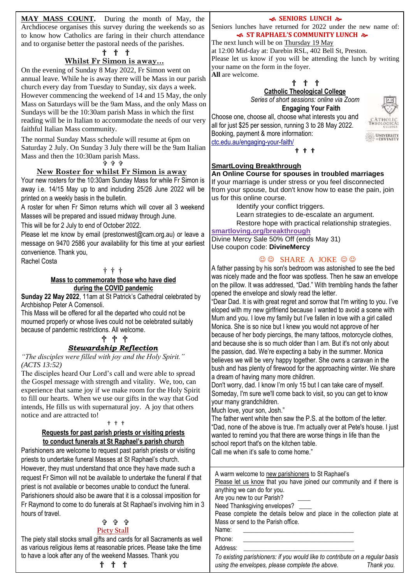**MAY MASS COUNT.** During the month of May, the Archdiocese organises this survey during the weekends so as to know how Catholics are faring in their church attendance and to organise better the pastoral needs of the parishes.

#### † † †

## **Whilst Fr Simon is away…**

On the evening of Sunday 8 May 2022, Fr Simon went on annual leave. While he is away there will be Mass in our parish church every day from Tuesday to Sunday, six days a week. However commencing the weekend of 14 and 15 May, the only Mass on Saturdays will be the 9am Mass, and the only Mass on Sundays will be the 10:30am parish Mass in which the first reading will be in Italian to accommodate the needs of our very faithful Italian Mass community.

The normal Sunday Mass schedule will resume at 6pm on Saturday 2 July. On Sunday 3 July there will be the 9am Italian Mass and then the 10:30am parish Mass.

ቅቀቀ

#### **New Roster for whilst Fr Simon is away**

Your new rosters for the 10:30am Sunday Mass for while Fr Simon is away i.e. 14/15 May up to and including 25/26 June 2022 will be printed on a weekly basis in the bulletin.

A roster for when Fr Simon returns which will cover all 3 weekend Masses will be prepared and issued midway through June.

This will be for 2 July to end of October 2022.

Please let me know by email (prestonwest@cam.org.au) or leave a message on 9470 2586 your availability for this time at your earliest convenience. Thank you,

Rachel Costa

#### † † †

#### **Mass to commemorate those who have died during the COVID pandemic**

**Sunday 22 May 2022**, 11am at St Patrick's Cathedral celebrated by Archbishop Peter A Comensoli.

This Mass will be offered for all the departed who could not be mourned properly or whose lives could not be celebrated suitably because of pandemic restrictions. All welcome.

#### † † † *Stewardship Reflection*

*"The disciples were filled with joy and the Holy Spirit." (ACTS 13:52)*

The disciples heard Our Lord's call and were able to spread the Gospel message with strength and vitality. We, too, can experience that same joy if we make room for the Holy Spirit to fill our hearts. When we use our gifts in the way that God intends, He fills us with supernatural joy. A joy that others notice and are attracted to!

#### † † †

#### **Requests for past parish priests or visiting priests to conduct funerals at St Raphael's parish church**

Parishioners are welcome to request past parish priests or visiting priests to undertake funeral Masses at St Raphael's church. However, they must understand that once they have made such a request Fr Simon will not be available to undertake the funeral if that priest is not available or becomes unable to conduct the funeral. Parishioners should also be aware that it is a colossal imposition for Fr Raymond to come to do funerals at St Raphael's involving him in 3 hours of travel.

## ቱ ቱ ቱ

## **Piety Stall**

The piety stall stocks small gifts and cards for all Sacraments as well as various religious items at reasonable prices. Please take the time to have a look after any of the weekend Masses. Thank you † † †

#### **SENIORS LUNCH &**

Seniors lunches have returned for 2022 under the new name of:  **ST RAPHAEL'S COMMUNITY LUNCH** 

#### The next lunch will be on Thursday 19 May

at 12:00 Mid-day at: Darebin RSL, 402 Bell St, Preston. Please let us know if you will be attending the lunch by writing your name on the form in the foyer. **All** are welcome.

## † † †

## **Catholic Theological College**

*Series of short sessions: online via Zoom* **Engaging Your Faith**

Choose one, choose all, choose what interests you and all for just \$25 per session, running 3 to 28 May 2022. Booking, payment & more information: [ctc.edu.au/engaging-your-faith/](https://ctc.edu.au/engaging-your-faith/)



#### **† † †**

#### **SmartLoving Breakthrough An Online Course for spouses in troubled marriages**

If your marriage is under stress or you feel disconnected from your spouse, but don't know how to ease the pain, join us for this online course.

Identify your conflict triggers.

Learn strategies to de-escalate an argument.

Restore hope with practical relationship strategies.

**[smartloving.org/breakthrough](https://aus01.safelinks.protection.outlook.com/?url=https%3A%2F%2Fpmrc.ontraport.com%2Fc%2Fs%2F2Q9%2FJ0Os%2F6%2Fvlq7%2F6m9%2F69gsJ5%2Fs2AkKJBwjQ%2FP%2FP%2FQX&data=05%7C01%7Cprestonwest%40cam.org.au%7C69519118326f4fbf3eca08da2d6164f8%7C48ee20c7c8ea423c8b28f19801e34193%7C0%7C0%7C637872193596322874%7CUnknown%7CTWFpbGZsb3d8eyJWIjoiMC4wLjAwMDAiLCJQIjoiV2luMzIiLCJBTiI6Ik1haWwiLCJXVCI6Mn0%3D%7C3000%7C%7C%7C&sdata=nK9uRkHeB%2FcbX0sjYSPYTrz48QQd9y1ZeE5dZbbqYTA%3D&reserved=0)**

Divine Mercy Sale 50% Off (ends May 31) Use coupon code: **DivineMercy**

#### $\odot$   $\odot$  SHARE A JOKE  $\odot$   $\odot$

A father passing by his son's bedroom was astonished to see the bed was nicely made and the floor was spotless. Then he saw an envelope on the pillow. It was addressed, "Dad." With trembling hands the father opened the envelope and slowly read the letter.

"Dear Dad. It is with great regret and sorrow that I'm writing to you. I've eloped with my new girlfriend because I wanted to avoid a scene with Mum and you. I love my family but I've fallen in love with a girl called Monica. She is so nice but I knew you would not approve of her because of her body piercings, the many tattoos, motorcycle clothes, and because she is so much older than I am. But it's not only about the passion, dad. We're expecting a baby in the summer. Monica believes we will be very happy together. She owns a caravan in the bush and has plenty of firewood for the approaching winter. We share a dream of having many more children.

Don't worry, dad. I know I'm only 15 but I can take care of myself. Someday, I'm sure we'll come back to visit, so you can get to know your many grandchildren.

Much love, your son, Josh."

Church for the church for

The father went white then saw the P.S. at the bottom of the letter. "Dad, none of the above is true. I'm actually over at Pete's house. I just wanted to remind you that there are worse things in life than the school report that's on the kitchen table.

Call me when it's safe to come home."

| A warm welcome to new parishioners to St Raphael's                    |  |  |
|-----------------------------------------------------------------------|--|--|
| Please let us know that you have joined our community and if there is |  |  |
| anything we can do for you.                                           |  |  |
| Are you new to our Parish?                                            |  |  |
| Need Thanksgiving envelopes?                                          |  |  |
| Pease complete the details below and place in the collection plate at |  |  |
| Mass or send to the Parish office.                                    |  |  |
| Name:                                                                 |  |  |
| Phone:                                                                |  |  |
| Address:                                                              |  |  |
|                                                                       |  |  |

To existing parishioners: if you would like to contribute on a regular basis using the envelopes, please complete the above. **Thank you.**